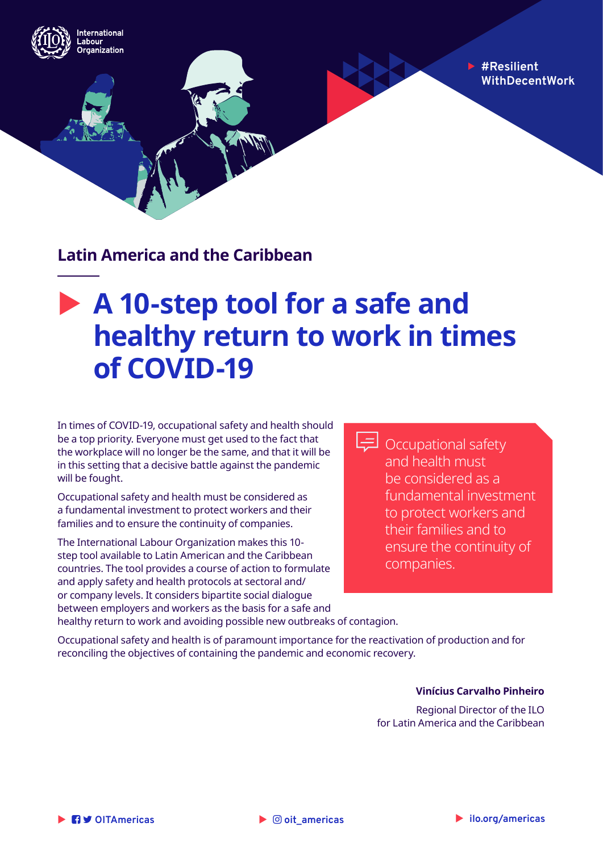**#Resilient WithDecentWork**

**Latin America and the Caribbean**

nternational abour .......<br>rganization

# **A 10-step tool for a safe and healthy return to work in times of COVID-19**

In times of COVID-19, occupational safety and health should be a top priority. Everyone must get used to the fact that the workplace will no longer be the same, and that it will be in this setting that a decisive battle against the pandemic will be fought.

Occupational safety and health must be considered as a fundamental investment to protect workers and their families and to ensure the continuity of companies.

The International Labour Organization makes this 10 step tool available to Latin American and the Caribbean countries. The tool provides a course of action to formulate and apply safety and health protocols at sectoral and/ or company levels. It considers bipartite social dialogue between employers and workers as the basis for a safe and Occupational safety and health must be considered as a fundamental investment to protect workers and their families and to ensure the continuity of companies.

healthy return to work and avoiding possible new outbreaks of contagion.

Occupational safety and health is of paramount importance for the reactivation of production and for reconciling the objectives of containing the pandemic and economic recovery.

#### **Vinícius Carvalho Pinheiro**

Regional Director of the ILO for Latin America and the Caribbean

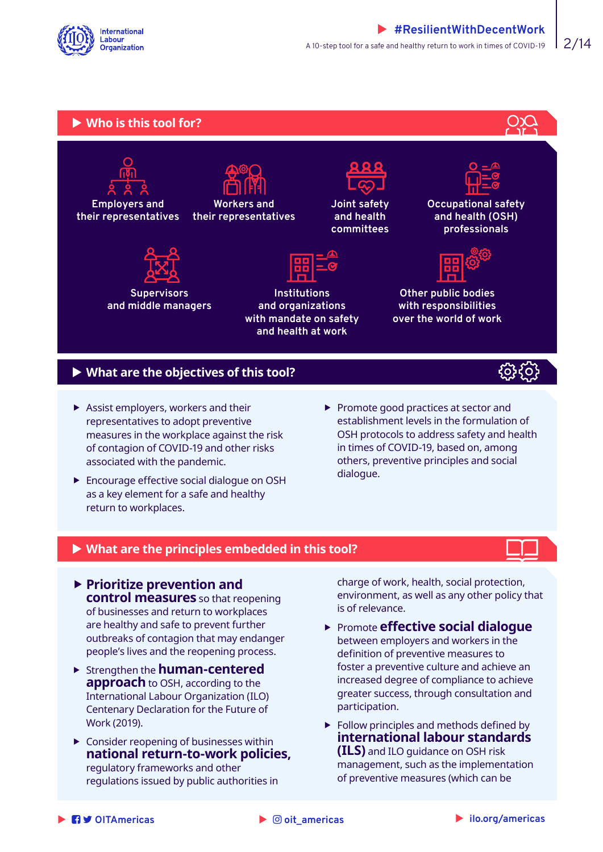



### ▶ What are the objectives of this tool?

- $\blacktriangleright$  Assist employers, workers and their representatives to adopt preventive measures in the workplace against the risk of contagion of COVID-19 and other risks associated with the pandemic.
- **FILOGOLY** Encourage effective social dialogue on OSH as a key element for a safe and healthy return to workplaces.
- $\blacktriangleright$  Promote good practices at sector and establishment levels in the formulation of OSH protocols to address safety and health in times of COVID-19, based on, among others, preventive principles and social dialogue.

#### ▶ What are the principles embedded in this tool?

- **Prioritize prevention and control measures** so that reopening of businesses and return to workplaces are healthy and safe to prevent further outbreaks of contagion that may endanger people's lives and the reopening process.
- ▶ Strengthen the **human-centered approach** to OSH, according to the International Labour Organization (ILO) Centenary Declaration for the Future of Work (2019).
- $\blacktriangleright$  Consider reopening of businesses within **national return-to-work policies,** regulatory frameworks and other regulations issued by public authorities in

charge of work, health, social protection, environment, as well as any other policy that is of relevance.

- **Promote effective social dialogue** between employers and workers in the definition of preventive measures to foster a preventive culture and achieve an increased degree of compliance to achieve greater success, through consultation and participation.
- $\blacktriangleright$  Follow principles and methods defined by **international labour standards (ILS)** and ILO guidance on OSH risk management, such as the implementation of preventive measures (which can be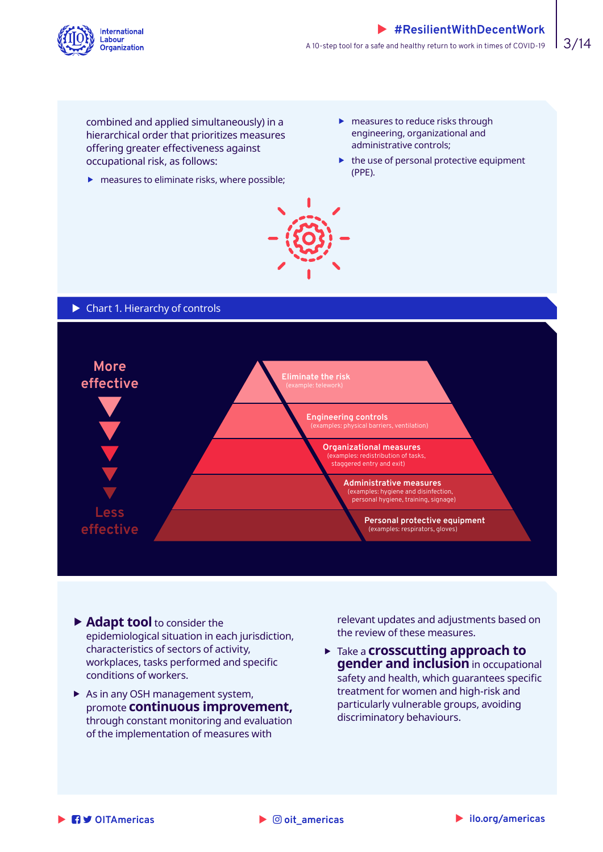

combined and applied simultaneously) in a hierarchical order that prioritizes measures offering greater effectiveness against occupational risk, as follows:

- $\blacktriangleright$  measures to eliminate risks, where possible;
- $\blacktriangleright$  measures to reduce risks through engineering, organizational and administrative controls;
- $\blacktriangleright$  the use of personal protective equipment (PPE).



 $\triangleright$  Chart 1. Hierarchy of controls



- **Adapt tool** to consider the epidemiological situation in each jurisdiction, characteristics of sectors of activity, workplaces, tasks performed and specific conditions of workers.
- $\blacktriangleright$  As in any OSH management system, promote **continuous improvement,**  through constant monitoring and evaluation of the implementation of measures with

relevant updates and adjustments based on the review of these measures.

**Fake a crosscutting approach to gender and inclusion** in occupational safety and health, which guarantees specific treatment for women and high-risk and particularly vulnerable groups, avoiding discriminatory behaviours.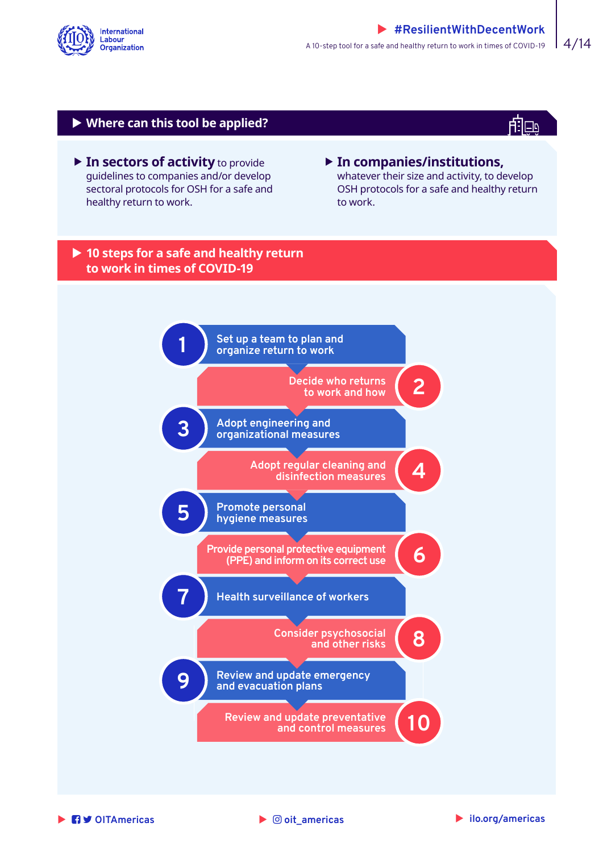

#### X **Where can this tool be applied?**

▶ In sectors of activity to provide guidelines to companies and/or develop sectoral protocols for OSH for a safe and healthy return to work.

#### **Fin companies/institutions,** whatever their size and activity, to develop OSH protocols for a safe and healthy return to work.

f:Te

#### ▶ 10 steps for a safe and healthy return **to work in times of COVID-19**



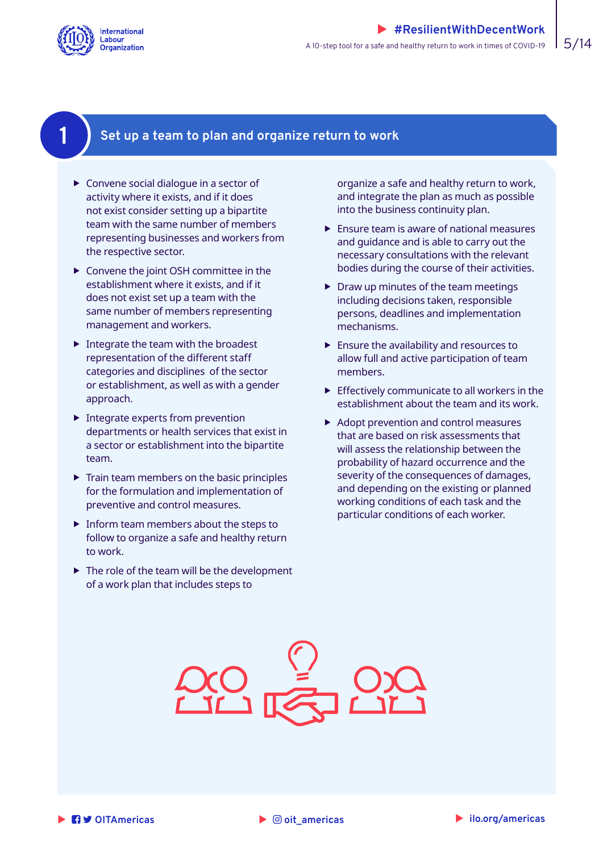<span id="page-4-0"></span>

### **1 Set up a team to plan and organize return to work**

- $\triangleright$  Convene social dialogue in a sector of activity where it exists, and if it does not exist consider setting up a bipartite team with the same number of members representing businesses and workers from the respective sector.
- $\triangleright$  Convene the joint OSH committee in the establishment where it exists, and if it does not exist set up a team with the same number of members representing management and workers.
- $\blacktriangleright$  Integrate the team with the broadest representation of the different staff categories and disciplines of the sector or establishment, as well as with a gender approach.
- $\blacktriangleright$  Integrate experts from prevention departments or health services that exist in a sector or establishment into the bipartite team.
- $\blacktriangleright$  Train team members on the basic principles for the formulation and implementation of preventive and control measures.
- $\blacktriangleright$  Inform team members about the steps to follow to organize a safe and healthy return to work.
- $\blacktriangleright$  The role of the team will be the development of a work plan that includes steps to

organize a safe and healthy return to work, and integrate the plan as much as possible into the business continuity plan.

- $\blacktriangleright$  Ensure team is aware of national measures and guidance and is able to carry out the necessary consultations with the relevant bodies during the course of their activities.
- $\triangleright$  Draw up minutes of the team meetings including decisions taken, responsible persons, deadlines and implementation mechanisms.
- $\blacktriangleright$  Ensure the availability and resources to allow full and active participation of team members.
- $\blacktriangleright$  Effectively communicate to all workers in the establishment about the team and its work.
- $\blacktriangleright$  Adopt prevention and control measures that are based on risk assessments that will assess the relationship between the probability of hazard occurrence and the severity of the consequences of damages, and depending on the existing or planned working conditions of each task and the particular conditions of each worker.

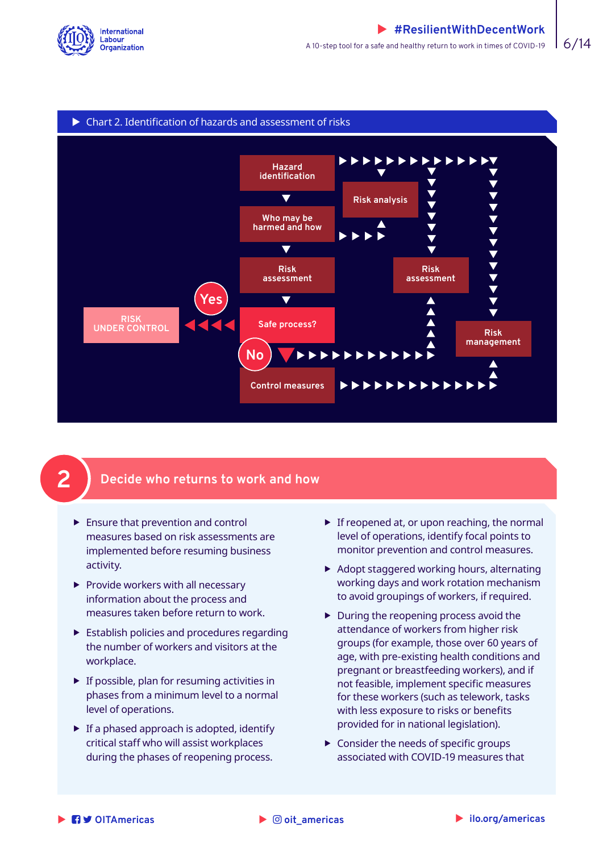<span id="page-5-0"></span>



### **2 Decide who returns to work and how**

- $\blacktriangleright$  Ensure that prevention and control measures based on risk assessments are implemented before resuming business activity.
- $\blacktriangleright$  Provide workers with all necessary information about the process and measures taken before return to work.
- $\blacktriangleright$  Establish policies and procedures regarding the number of workers and visitors at the workplace.
- $\blacktriangleright$  If possible, plan for resuming activities in phases from a minimum level to a normal level of operations.
- $\blacktriangleright$  If a phased approach is adopted, identify critical staff who will assist workplaces during the phases of reopening process.
- $\blacktriangleright$  If reopened at, or upon reaching, the normal level of operations, identify focal points to monitor prevention and control measures.
- $\blacktriangleright$  Adopt staggered working hours, alternating working days and work rotation mechanism to avoid groupings of workers, if required.
- $\blacktriangleright$  During the reopening process avoid the attendance of workers from higher risk groups (for example, those over 60 years of age, with pre-existing health conditions and pregnant or breastfeeding workers), and if not feasible, implement specific measures for these workers (such as telework, tasks with less exposure to risks or benefits provided for in national legislation).
- $\blacktriangleright$  Consider the needs of specific groups associated with COVID-19 measures that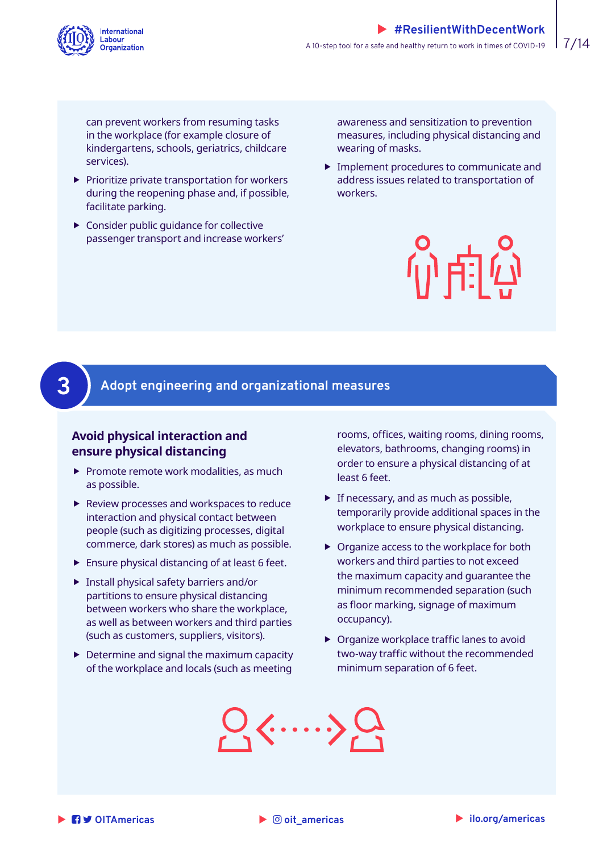<span id="page-6-0"></span>

can prevent workers from resuming tasks in the workplace (for example closure of kindergartens, schools, geriatrics, childcare services).

- $\blacktriangleright$  Prioritize private transportation for workers during the reopening phase and, if possible, facilitate parking.
- $\blacktriangleright$  Consider public quidance for collective passenger transport and increase workers'

awareness and sensitization to prevention measures, including physical distancing and wearing of masks.

 $\blacktriangleright$  Implement procedures to communicate and address issues related to transportation of workers.



# **3 Adopt engineering and organizational measures**

#### **Avoid physical interaction and ensure physical distancing**

- $\blacktriangleright$  Promote remote work modalities, as much as possible.
- $\blacktriangleright$  Review processes and workspaces to reduce interaction and physical contact between people (such as digitizing processes, digital commerce, dark stores) as much as possible.
- $\blacktriangleright$  Ensure physical distancing of at least 6 feet.
- $\blacktriangleright$  Install physical safety barriers and/or partitions to ensure physical distancing between workers who share the workplace, as well as between workers and third parties (such as customers, suppliers, visitors).
- $\blacktriangleright$  Determine and signal the maximum capacity of the workplace and locals (such as meeting

rooms, offices, waiting rooms, dining rooms, elevators, bathrooms, changing rooms) in order to ensure a physical distancing of at least 6 feet.

- $\blacktriangleright$  If necessary, and as much as possible, temporarily provide additional spaces in the workplace to ensure physical distancing.
- $\triangleright$  Organize access to the workplace for both workers and third parties to not exceed the maximum capacity and guarantee the minimum recommended separation (such as floor marking, signage of maximum occupancy).
- $\triangleright$  Organize workplace traffic lanes to avoid two-way traffic without the recommended minimum separation of 6 feet.



 $\blacktriangleright$   $\oslash$  oit americas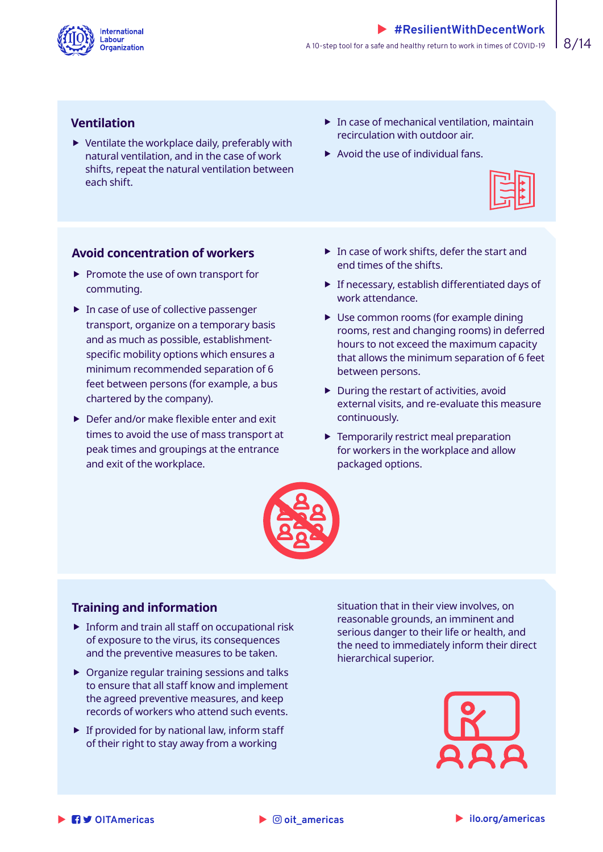

#### **Ventilation**

- $\blacktriangleright$  Ventilate the workplace daily, preferably with natural ventilation, and in the case of work shifts, repeat the natural ventilation between each shift.
- $\blacktriangleright$  In case of mechanical ventilation, maintain recirculation with outdoor air.
- $\blacktriangleright$  Avoid the use of individual fans.



#### **Avoid concentration of workers**

- $\blacktriangleright$  Promote the use of own transport for commuting.
- $\blacktriangleright$  In case of use of collective passenger transport, organize on a temporary basis and as much as possible, establishmentspecific mobility options which ensures a minimum recommended separation of 6 feet between persons (for example, a bus chartered by the company).
- $\blacktriangleright$  Defer and/or make flexible enter and exit times to avoid the use of mass transport at peak times and groupings at the entrance and exit of the workplace.
- $\blacktriangleright$  In case of work shifts, defer the start and end times of the shifts.
- $\blacktriangleright$  If necessary, establish differentiated days of work attendance.
- $\blacktriangleright$  Use common rooms (for example dining rooms, rest and changing rooms) in deferred hours to not exceed the maximum capacity that allows the minimum separation of 6 feet between persons.
- $\blacktriangleright$  During the restart of activities, avoid external visits, and re-evaluate this measure continuously.
- $\blacktriangleright$  Temporarily restrict meal preparation for workers in the workplace and allow packaged options.



#### **Training and information**

- $\triangleright$  Inform and train all staff on occupational risk of exposure to the virus, its consequences and the preventive measures to be taken.
- $\triangleright$  Organize regular training sessions and talks to ensure that all staff know and implement the agreed preventive measures, and keep records of workers who attend such events.
- $\blacktriangleright$  If provided for by national law, inform staff of their right to stay away from a working

situation that in their view involves, on reasonable grounds, an imminent and serious danger to their life or health, and the need to immediately inform their direct hierarchical superior.

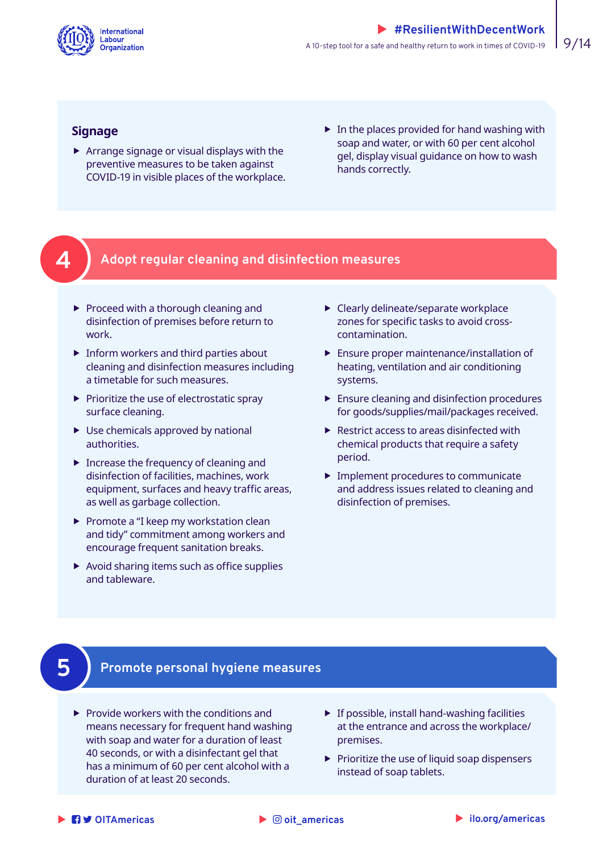<span id="page-8-0"></span>

#### **Signage**

- $\blacktriangleright$  Arrange signage or visual displays with the preventive measures to be taken against COVID-19 in visible places of the workplace.
- $\blacktriangleright$  In the places provided for hand washing with soap and water, or with 60 per cent alcohol gel, display visual guidance on how to wash hands correctly.

# **4 Adopt regular cleaning and disinfection measures**

- $\blacktriangleright$  Proceed with a thorough cleaning and disinfection of premises before return to work.
- $\blacktriangleright$  Inform workers and third parties about cleaning and disinfection measures including a timetable for such measures.
- $\blacktriangleright$  Prioritize the use of electrostatic spray surface cleaning.
- $\blacktriangleright$  Use chemicals approved by national authorities.
- $\blacktriangleright$  Increase the frequency of cleaning and disinfection of facilities, machines, work equipment, surfaces and heavy traffic areas, as well as garbage collection.
- $\blacktriangleright$  Promote a "I keep my workstation clean and tidy" commitment among workers and encourage frequent sanitation breaks.
- $\blacktriangleright$  Avoid sharing items such as office supplies and tableware.
- $\blacktriangleright$  Clearly delineate/separate workplace zones for specific tasks to avoid crosscontamination.
- $\blacktriangleright$  Ensure proper maintenance/installation of heating, ventilation and air conditioning systems.
- $\blacktriangleright$  Ensure cleaning and disinfection procedures for goods/supplies/mail/packages received.
- $\blacktriangleright$  Restrict access to areas disinfected with chemical products that require a safety period.
- $\blacktriangleright$  Implement procedures to communicate and address issues related to cleaning and disinfection of premises.

# **5 Promote personal hygiene measures**

- $\blacktriangleright$  Provide workers with the conditions and means necessary for frequent hand washing with soap and water for a duration of least 40 seconds, or with a disinfectant gel that has a minimum of 60 per cent alcohol with a duration of at least 20 seconds.
- $\blacktriangleright$  If possible, install hand-washing facilities at the entrance and across the workplace/ premises.
- $\blacktriangleright$  Prioritize the use of liquid soap dispensers instead of soap tablets.

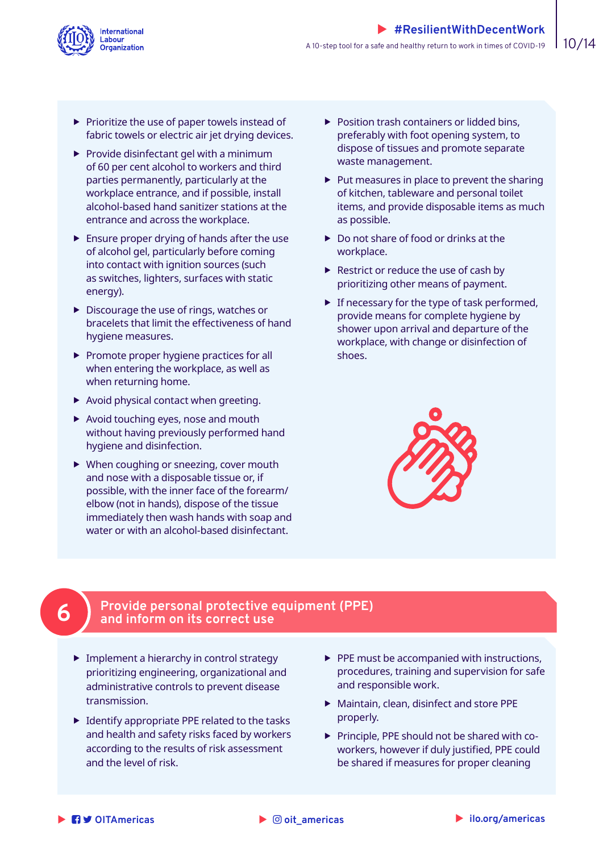<span id="page-9-0"></span>

- $\blacktriangleright$  Prioritize the use of paper towels instead of fabric towels or electric air jet drying devices.
- $\blacktriangleright$  Provide disinfectant gel with a minimum of 60 per cent alcohol to workers and third parties permanently, particularly at the workplace entrance, and if possible, install alcohol-based hand sanitizer stations at the entrance and across the workplace.
- $\blacktriangleright$  Ensure proper drying of hands after the use of alcohol gel, particularly before coming into contact with ignition sources (such as switches, lighters, surfaces with static energy).
- $\blacktriangleright$  Discourage the use of rings, watches or bracelets that limit the effectiveness of hand hygiene measures.
- $\blacktriangleright$  Promote proper hygiene practices for all when entering the workplace, as well as when returning home.
- $\blacktriangleright$  Avoid physical contact when greeting.
- $\blacktriangleright$  Avoid touching eyes, nose and mouth without having previously performed hand hygiene and disinfection.
- $\blacktriangleright$  When coughing or sneezing, cover mouth and nose with a disposable tissue or, if possible, with the inner face of the forearm/ elbow (not in hands), dispose of the tissue immediately then wash hands with soap and water or with an alcohol-based disinfectant.
- $\blacktriangleright$  Position trash containers or lidded bins, preferably with foot opening system, to dispose of tissues and promote separate waste management.
- $\blacktriangleright$  Put measures in place to prevent the sharing of kitchen, tableware and personal toilet items, and provide disposable items as much as possible.
- $\triangleright$  Do not share of food or drinks at the workplace.
- $\blacktriangleright$  Restrict or reduce the use of cash by prioritizing other means of payment.
- $\blacktriangleright$  If necessary for the type of task performed, provide means for complete hygiene by shower upon arrival and departure of the workplace, with change or disinfection of shoes.



### **6 Provide personal protective equipment (PPE) and inform on its correct use**

- $\blacktriangleright$  Implement a hierarchy in control strategy prioritizing engineering, organizational and administrative controls to prevent disease transmission.
- $\blacktriangleright$  Identify appropriate PPE related to the tasks and health and safety risks faced by workers according to the results of risk assessment and the level of risk.
- $\blacktriangleright$  PPE must be accompanied with instructions, procedures, training and supervision for safe and responsible work.
- $\blacktriangleright$  Maintain, clean, disinfect and store PPE properly.
- $\triangleright$  Principle, PPE should not be shared with coworkers, however if duly justified, PPE could be shared if measures for proper cleaning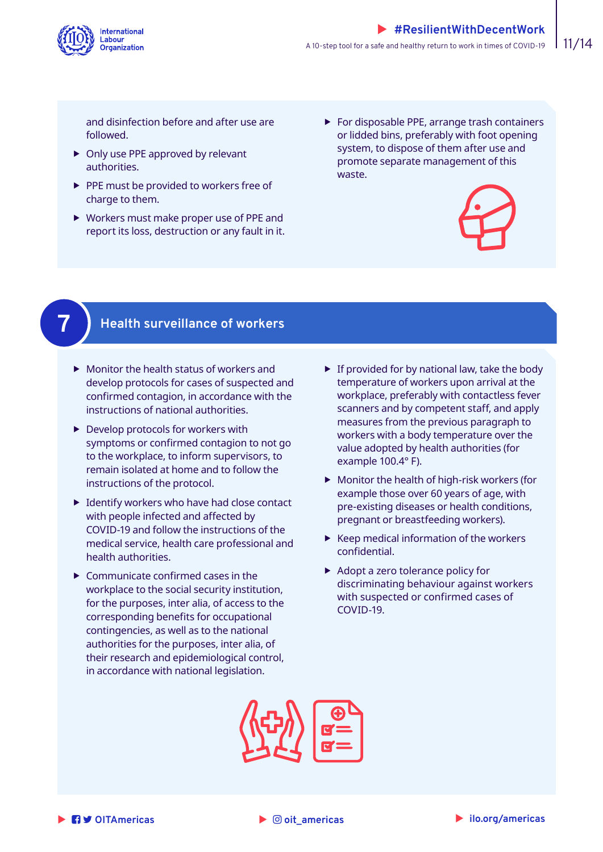<span id="page-10-0"></span>

and disinfection before and after use are followed.

- $\triangleright$  Only use PPE approved by relevant authorities.
- $\blacktriangleright$  PPE must be provided to workers free of charge to them.
- $\triangleright$  Workers must make proper use of PPE and report its loss, destruction or any fault in it.
- $\blacktriangleright$  For disposable PPE, arrange trash containers or lidded bins, preferably with foot opening system, to dispose of them after use and promote separate management of this waste.





### **7 Health surveillance of workers**

- $\blacktriangleright$  Monitor the health status of workers and develop protocols for cases of suspected and confirmed contagion, in accordance with the instructions of national authorities.
- $\blacktriangleright$  Develop protocols for workers with symptoms or confirmed contagion to not go to the workplace, to inform supervisors, to remain isolated at home and to follow the instructions of the protocol.
- $\blacktriangleright$  Identify workers who have had close contact with people infected and affected by COVID-19 and follow the instructions of the medical service, health care professional and health authorities.
- $\blacktriangleright$  Communicate confirmed cases in the workplace to the social security institution, for the purposes, inter alia, of access to the corresponding benefits for occupational contingencies, as well as to the national authorities for the purposes, inter alia, of their research and epidemiological control, in accordance with national legislation.
- $\blacktriangleright$  If provided for by national law, take the body temperature of workers upon arrival at the workplace, preferably with contactless fever scanners and by competent staff, and apply measures from the previous paragraph to workers with a body temperature over the value adopted by health authorities (for example 100.4° F).
- $\blacktriangleright$  Monitor the health of high-risk workers (for example those over 60 years of age, with pre-existing diseases or health conditions, pregnant or breastfeeding workers).
- $\blacktriangleright$  Keep medical information of the workers confidential.
- $\blacktriangleright$  Adopt a zero tolerance policy for discriminating behaviour against workers with suspected or confirmed cases of COVID-19.



 $\blacktriangleright$   $\oslash$  oit americas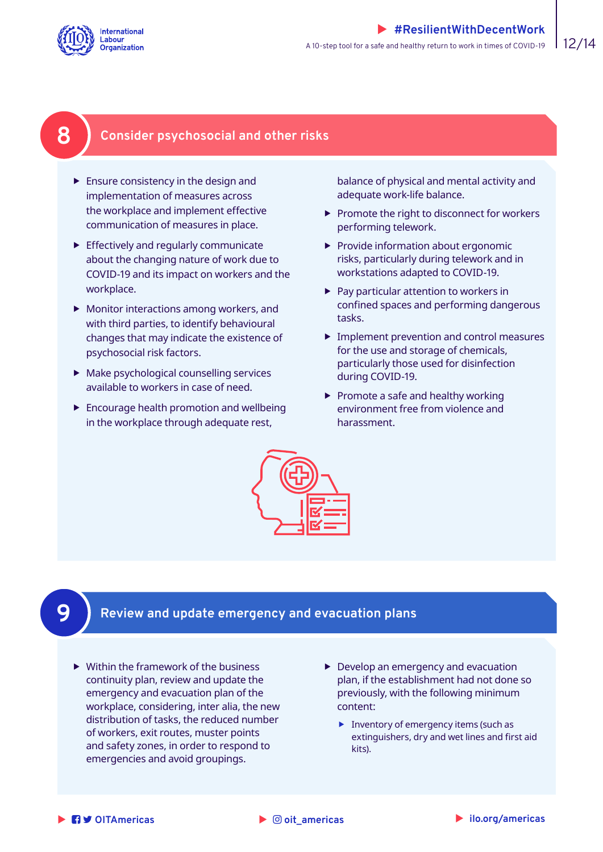<span id="page-11-0"></span>

# **8 Consider psychosocial and other risks**

- $\blacktriangleright$  Ensure consistency in the design and implementation of measures across the workplace and implement effective communication of measures in place.
- $\blacktriangleright$  Effectively and regularly communicate about the changing nature of work due to COVID-19 and its impact on workers and the workplace.
- $\blacktriangleright$  Monitor interactions among workers, and with third parties, to identify behavioural changes that may indicate the existence of psychosocial risk factors.
- $\blacktriangleright$  Make psychological counselling services available to workers in case of need.
- $\blacktriangleright$  Encourage health promotion and wellbeing in the workplace through adequate rest,

balance of physical and mental activity and adequate work-life balance.

- $\blacktriangleright$  Promote the right to disconnect for workers performing telework.
- $\blacktriangleright$  Provide information about ergonomic risks, particularly during telework and in workstations adapted to COVID-19.
- $\blacktriangleright$  Pay particular attention to workers in confined spaces and performing dangerous tasks.
- $\blacktriangleright$  Implement prevention and control measures for the use and storage of chemicals, particularly those used for disinfection during COVID-19.
- $\blacktriangleright$  Promote a safe and healthy working environment free from violence and harassment.



# **9 Review and update emergency and evacuation plans**

- $\blacktriangleright$  Within the framework of the business continuity plan, review and update the emergency and evacuation plan of the workplace, considering, inter alia, the new distribution of tasks, the reduced number of workers, exit routes, muster points and safety zones, in order to respond to emergencies and avoid groupings.
- $\blacktriangleright$  Develop an emergency and evacuation plan, if the establishment had not done so previously, with the following minimum content:
	- $\blacktriangleright$  Inventory of emergency items (such as extinguishers, dry and wet lines and first aid kits).

```
X   OITAmericas X ilo.org/americas
```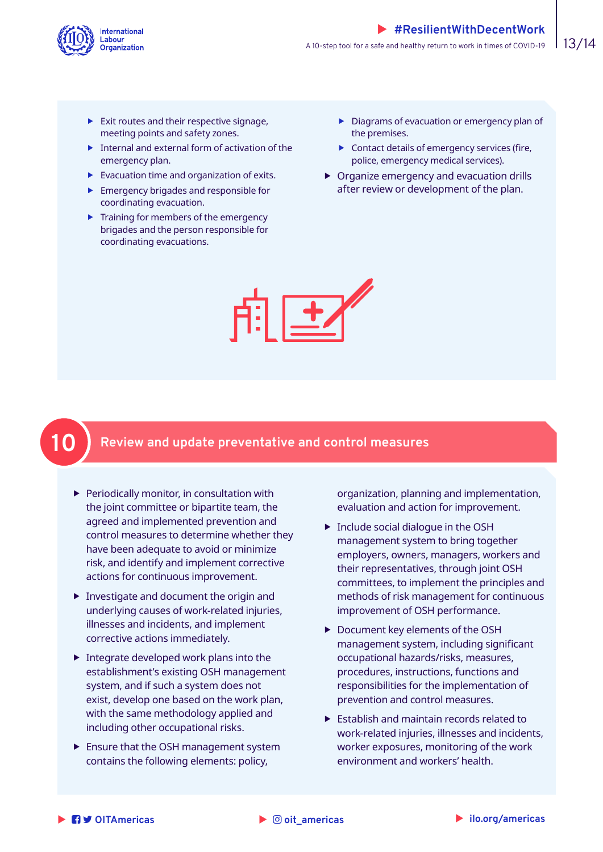<span id="page-12-0"></span>

- $\blacktriangleright$  Exit routes and their respective signage, meeting points and safety zones.
- $\blacktriangleright$  Internal and external form of activation of the emergency plan.
- $\blacktriangleright$  Evacuation time and organization of exits.
- $\blacktriangleright$  Emergency brigades and responsible for coordinating evacuation.
- $\blacktriangleright$  Training for members of the emergency brigades and the person responsible for coordinating evacuations.
- $\blacktriangleright$  Diagrams of evacuation or emergency plan of the premises.
- $\blacktriangleright$  Contact details of emergency services (fire, police, emergency medical services).
- $\triangleright$  Organize emergency and evacuation drills after review or development of the plan.



# **10 Review and update preventative and control measures**

- $\blacktriangleright$  Periodically monitor, in consultation with the joint committee or bipartite team, the agreed and implemented prevention and control measures to determine whether they have been adequate to avoid or minimize risk, and identify and implement corrective actions for continuous improvement.
- $\blacktriangleright$  Investigate and document the origin and underlying causes of work-related injuries, illnesses and incidents, and implement corrective actions immediately.
- $\blacktriangleright$  Integrate developed work plans into the establishment's existing OSH management system, and if such a system does not exist, develop one based on the work plan, with the same methodology applied and including other occupational risks.
- $\blacktriangleright$  Ensure that the OSH management system contains the following elements: policy,

organization, planning and implementation, evaluation and action for improvement.

- $\blacktriangleright$  Include social dialogue in the OSH management system to bring together employers, owners, managers, workers and their representatives, through joint OSH committees, to implement the principles and methods of risk management for continuous improvement of OSH performance.
- ▶ Document key elements of the OSH management system, including significant occupational hazards/risks, measures, procedures, instructions, functions and responsibilities for the implementation of prevention and control measures.
- $\blacktriangleright$  Establish and maintain records related to work-related injuries, illnesses and incidents, worker exposures, monitoring of the work environment and workers' health.